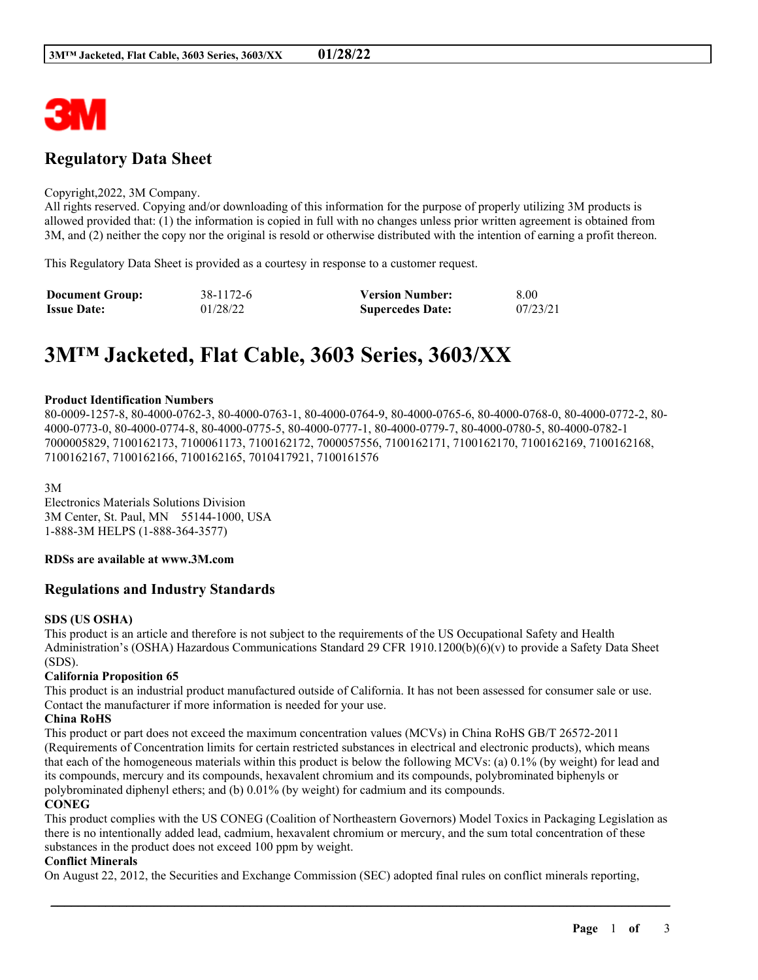

# **Regulatory Data Sheet**

#### Copyright,2022, 3M Company.

All rights reserved. Copying and/or downloading of this information for the purpose of properly utilizing 3M products is allowed provided that: (1) the information is copied in full with no changes unless prior written agreement is obtained from 3M, and (2) neither the copy nor the original is resold or otherwise distributed with the intention of earning a profit thereon.

This Regulatory Data Sheet is provided as a courtesy in response to a customer request.

| <b>Document Group:</b> | 38-1172-6 | <b>Version Number:</b>  | 8.00     |
|------------------------|-----------|-------------------------|----------|
| <b>Issue Date:</b>     | 01/28/22  | <b>Supercedes Date:</b> | 07/23/21 |

# **3M™ Jacketed, Flat Cable, 3603 Series, 3603/XX**

#### **Product Identification Numbers**

80-0009-1257-8, 80-4000-0762-3, 80-4000-0763-1, 80-4000-0764-9, 80-4000-0765-6, 80-4000-0768-0, 80-4000-0772-2, 80- 4000-0773-0, 80-4000-0774-8, 80-4000-0775-5, 80-4000-0777-1, 80-4000-0779-7, 80-4000-0780-5, 80-4000-0782-1 7000005829, 7100162173, 7100061173, 7100162172, 7000057556, 7100162171, 7100162170, 7100162169, 7100162168, 7100162167, 7100162166, 7100162165, 7010417921, 7100161576

3M

Electronics Materials Solutions Division 3M Center, St. Paul, MN 55144-1000, USA 1-888-3M HELPS (1-888-364-3577)

#### **RDSs are available at www.3M.com**

### **Regulations and Industry Standards**

#### **SDS (US OSHA)**

This product is an article and therefore is not subject to the requirements of the US Occupational Safety and Health Administration's (OSHA) Hazardous Communications Standard 29 CFR 1910.1200(b)(6)(v) to provide a Safety Data Sheet (SDS).

#### **California Proposition 65**

This product is an industrial product manufactured outside of California. It has not been assessed for consumer sale or use. Contact the manufacturer if more information is needed for your use.

#### **China RoHS**

This product or part does not exceed the maximum concentration values (MCVs) in China RoHS GB/T 26572-2011 (Requirements of Concentration limits for certain restricted substances in electrical and electronic products), which means that each of the homogeneous materials within this product is below the following MCVs: (a) 0.1% (by weight) for lead and its compounds, mercury and its compounds, hexavalent chromium and its compounds, polybrominated biphenyls or polybrominated diphenyl ethers; and (b) 0.01% (by weight) for cadmium and its compounds.

#### **CONEG**

This product complies with the US CONEG (Coalition of Northeastern Governors) Model Toxics in Packaging Legislation as there is no intentionally added lead, cadmium, hexavalent chromium or mercury, and the sum total concentration of these substances in the product does not exceed 100 ppm by weight.

\_\_\_\_\_\_\_\_\_\_\_\_\_\_\_\_\_\_\_\_\_\_\_\_\_\_\_\_\_\_\_\_\_\_\_\_\_\_\_\_\_\_\_\_\_\_\_\_\_\_\_\_\_\_\_\_\_\_\_\_\_\_\_\_\_\_\_\_\_\_\_\_\_\_\_\_\_\_\_\_\_\_\_\_\_\_\_\_\_\_

#### **Conflict Minerals**

On August 22, 2012, the Securities and Exchange Commission (SEC) adopted final rules on conflict minerals reporting,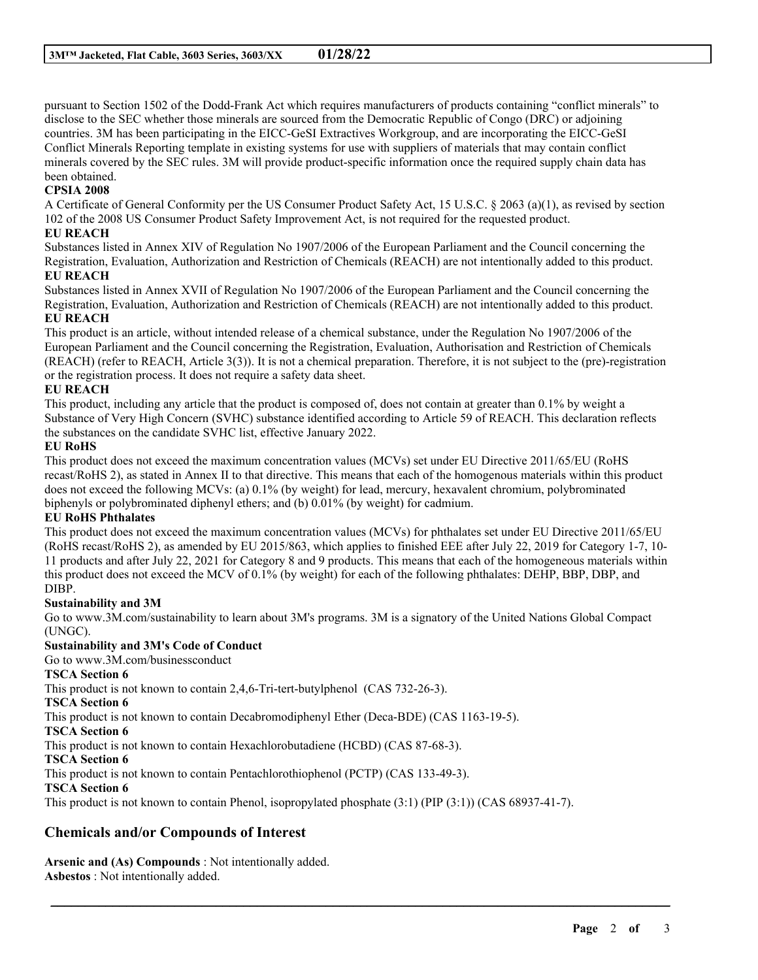pursuant to Section 1502 of the Dodd-Frank Act which requires manufacturers of products containing "conflict minerals" to disclose to the SEC whether those minerals are sourced from the Democratic Republic of Congo (DRC) or adjoining countries. 3M has been participating in the EICC-GeSI Extractives Workgroup, and are incorporating the EICC-GeSI Conflict Minerals Reporting template in existing systems for use with suppliers of materials that may contain conflict minerals covered by the SEC rules. 3M will provide product-specific information once the required supply chain data has been obtained.

## **CPSIA 2008**

A Certificate of General Conformity per the US Consumer Product Safety Act, 15 U.S.C. § 2063 (a)(1), as revised by section 102 of the 2008 US Consumer Product Safety Improvement Act, is not required for the requested product.

### **EU REACH**

Substances listed in Annex XIV of Regulation No 1907/2006 of the European Parliament and the Council concerning the Registration, Evaluation, Authorization and Restriction of Chemicals (REACH) are not intentionally added to this product.

## **EU REACH**

Substances listed in Annex XVII of Regulation No 1907/2006 of the European Parliament and the Council concerning the Registration, Evaluation, Authorization and Restriction of Chemicals (REACH) are not intentionally added to this product. **EU REACH**

This product is an article, without intended release of a chemical substance, under the Regulation No 1907/2006 of the European Parliament and the Council concerning the Registration, Evaluation, Authorisation and Restriction of Chemicals (REACH) (refer to REACH, Article 3(3)). It is not a chemical preparation. Therefore, it is not subject to the (pre)-registration or the registration process. It does not require a safety data sheet.

### **EU REACH**

This product, including any article that the product is composed of, does not contain at greater than 0.1% by weight a Substance of Very High Concern (SVHC) substance identified according to Article 59 of REACH. This declaration reflects the substances on the candidate SVHC list, effective January 2022.

### **EU RoHS**

This product does not exceed the maximum concentration values (MCVs) set under EU Directive 2011/65/EU (RoHS recast/RoHS 2), as stated in Annex II to that directive. This means that each of the homogenous materials within this product does not exceed the following MCVs: (a) 0.1% (by weight) for lead, mercury, hexavalent chromium, polybrominated biphenyls or polybrominated diphenyl ethers; and (b) 0.01% (by weight) for cadmium.

## **EU RoHS Phthalates**

This product does not exceed the maximum concentration values (MCVs) for phthalates set under EU Directive 2011/65/EU (RoHS recast/RoHS 2), as amended by EU 2015/863, which applies to finished EEE after July 22, 2019 for Category 1-7, 10- 11 products and after July 22, 2021 for Category 8 and 9 products. This means that each of the homogeneous materials within this product does not exceed the MCV of 0.1% (by weight) for each of the following phthalates: DEHP, BBP, DBP, and DIBP.

## **Sustainability and 3M**

Go to www.3M.com/sustainability to learn about 3M's programs. 3M is a signatory of the United Nations Global Compact (UNGC).

\_\_\_\_\_\_\_\_\_\_\_\_\_\_\_\_\_\_\_\_\_\_\_\_\_\_\_\_\_\_\_\_\_\_\_\_\_\_\_\_\_\_\_\_\_\_\_\_\_\_\_\_\_\_\_\_\_\_\_\_\_\_\_\_\_\_\_\_\_\_\_\_\_\_\_\_\_\_\_\_\_\_\_\_\_\_\_\_\_\_

## **Sustainability and 3M's Code of Conduct**

Go to www.3M.com/businessconduct

## **TSCA Section 6**

This product is not known to contain 2,4,6-Tri-tert-butylphenol (CAS 732-26-3).

**TSCA Section 6**

This product is not known to contain Decabromodiphenyl Ether (Deca-BDE) (CAS 1163-19-5).

**TSCA Section 6**

This product is not known to contain Hexachlorobutadiene (HCBD) (CAS 87-68-3).

**TSCA Section 6**

This product is not known to contain Pentachlorothiophenol (PCTP) (CAS 133-49-3).

### **TSCA Section 6**

This product is not known to contain Phenol, isopropylated phosphate (3:1) (PIP (3:1)) (CAS 68937-41-7).

## **Chemicals and/or Compounds of Interest**

**Arsenic and (As) Compounds** : Not intentionally added. **Asbestos** : Not intentionally added.